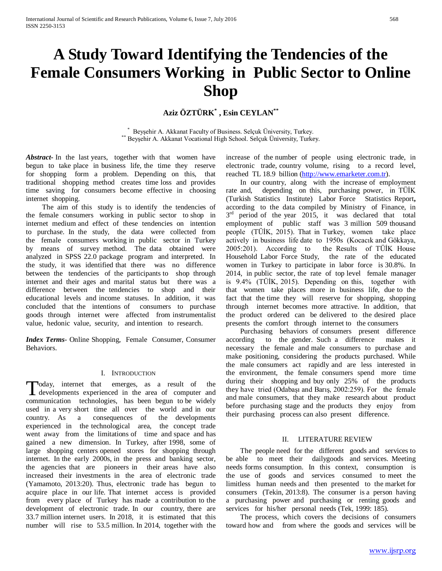# **A Study Toward Identifying the Tendencies of the Female Consumers Working in Public Sector to Online Shop**

## **Aziz ÖZTÜRK\* , Esin CEYLAN\*\***

\* Beysehir A. Akkanat Faculty of Business. Selcuk Üniversity, Turkey. \*\* Beyşehir A. Akkanat Vocational High School. Selçuk Üniversity, Turkey.

*Abstract***-** In the last years, together with that women have begun to take place in business life, the time they reserve for shopping form a problem. Depending on this, that traditional shopping method creates time loss and provides time saving for consumers become effective in choosing internet shopping.

 The aim of this study is to identify the tendencies of the female consumers working in public sector to shop in internet medium and effect of these tendencies on intention to purchase. In the study, the data were collected from the female consumers working in public sector in Turkey by means of survey method. The data obtained were analyzed in SPSS 22.0 package program and interpreted. In the study, it was identified that there was no difference between the tendencies of the participants to shop through internet and their ages and marital status but there was a difference between the tendencies to shop and their educational levels and income statuses. In addition, it was concluded that the intentions of consumers to purchase goods through internet were affected from instrumentalist value, hedonic value, security, and intention to research.

*Index Terms*- Online Shopping, Female Consumer, Consumer Behaviors.

#### I. INTRODUCTION

oday, internet that emerges, as a result of the Today, internet that emerges, as a result of the developments experienced in the area of computer and communication technologies, has been begun to be widely used in a very short time all over the world and in our country. As a consequences of the developments experienced in the technological area, the concept trade went away from the limitations of time and space and has gained a new dimension. In Turkey, after 1998, some of large shopping centers opened stores for shopping through internet. In the early 2000s, in the press and banking sector, the agencies that are pioneers in their areas have also increased their investments in the area of electronic trade (Yamamoto, 2013:20). Thus, electronic trade has begun to acquire place in our life. That internet access is provided from every place of Turkey has made a contribution to the development of electronic trade. In our country, there are 33.7 million internet users. In 2018, it is estimated that this number will rise to 53.5 million. In 2014, together with the

increase of the number of people using electronic trade, in electronic trade, country volume, rising to a record level, reached TL 18.9 billion [\(http://www.emarketer.com.tr\)](http://www.emarketer.com.tr/).

 In our country, along with the increase of employment rate and, depending on this, purchasing power, in TÜİK (Turkish Statistics Institute) Labor Force Statistics Report**,**  according to the data compiled by Ministry of Finance, in  $3<sup>rd</sup>$  period of the year 2015, it was declared that total employment of public staff was 3 million 509 thousand people (TÜİK, 2015). That in Turkey, women take place actively in business life date to 1950s (Kocacık and Gökkaya, 2005:201). According to the Results of TÜİK House Household Labor Force Study, the rate of the educated women in Turkey to participate in labor force is 30.8%. In 2014, in public sector, the rate of top level female manager is 9.4% (TÜİK, 2015). Depending on this, together with that women take places more in business life, due to the fact that the time they will reserve for shopping, shopping through internet becomes more attractive. In addition, that the product ordered can be delivered to the desired place presents the comfort through internet to the consumers

 Purchasing behaviors of consumers present difference according to the gender. Such a difference makes it necessary the female and male consumers to purchase and make positioning, considering the products purchased. While the male consumers act rapidly and are less interested in the environment, the female consumers spend more time during their shopping and buy only 25% of the products they have tried (Odabaşı and Barış, 2002:259). For the female and male consumers, that they make research about product before purchasing stage and the products they enjoy from their purchasing process can also present difference.

#### II. LITERATURE REVIEW

 The people need for the different goods and services to be able to meet their dailygoods and services. Meeting needs forms consumption. In this context, consumption is the use of goods and services consumed to meet the limitless human needs and then presented to the market for consumers (Tekin, 2013:8). The consumer is a person having a purchasing power and purchasing or renting goods and services for his/her personal needs (Tek, 1999: 185).

 The process, which covers the decisions of consumers toward how and from where the goods and services will be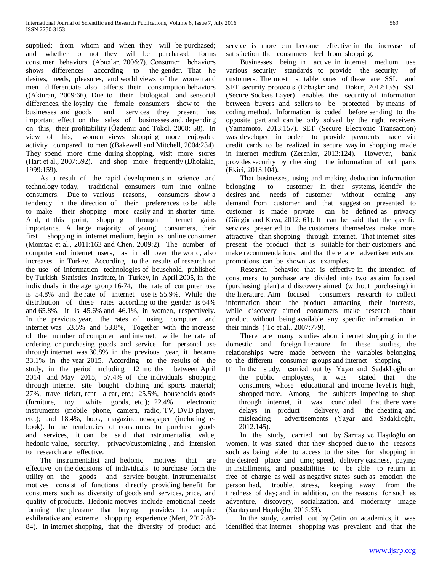supplied; from whom and when they will be purchased; and whether or not they will be purchased, forms consumer behaviors (Abıcılar, 2006:7). Consumer behaviors shows differences according to the gender. That he desires, needs, pleasures, and world views of the women and men differentiate also affects their consumption behaviors ((Akturan, 2009:66). Due to their biological and sensorial differences, the loyalty the female consumers show to the businesses and goods and services they present has important effect on the sales of businesses and, depending on this, their profitability (Özdemir and Tokol, 2008: 58). In view of this, women views shopping more enjoyable activity compared to men ((Bakewell and Mitchell, 2004:234). They spend more time during shopping, visit more stores (Hart et al., 2007:592), and shop more frequently (Dholakia, 1999:159).

 As a result of the rapid developments in science and technology today, traditional consumers turn into online consumers. Due to various reasons, consumers show a tendency in the direction of their preferences to be able to make their shopping more easily and in shorter time. And, at this point, shopping through internet gains importance. A large majority of young consumers, their first shopping in internet medium, begin as online consumer (Momtaz et al., 2011:163 and Chen, 2009:2). The number of computer and internet users, as in all over the world, also increases in Turkey. According to the results of research on the use of information technologies of household, published by Turkish Statistics Institute, in Turkey, in April 2005, in the individuals in the age group 16-74, the rate of computer use is 54.8% and the rate of internet use is 55.9%. While the distribution of these rates according to the gender is 64% and 65.8%, it is 45.6% and 46.1%, in women, respectively. In the previous year, the rates of using computer and internet was 53.5% and 53.8%, Together with the increase of the number of computer and internet, while the rate of ordering or purchasing goods and service for personal use through internet was 30.8% in the previous year, it became 33.1% in the year 2015. According to the results of the study, in the period including 12 months between April 2014 and May 2015, 57.4% of the individuals shopping through internet site bought clothing and sports material; 27%, travel ticket, rent a car, etc.; 25.5%, households goods (furniture, toy, white goods, etc.); 22.4% electronic instruments (mobile phone, camera, radio, TV, DVD player, etc.); and 18.4%, book, magazine, newspaper (including ebook). In the tendencies of consumers to purchase goods and services, it can be said that instrumentalist value, hedonic value, security, privacy/customizing , and intension to research are effective.

 The instrumentalist and hedonic motives that are effective on the decisions of individuals to purchase form the utility on the goods and service bought. Instrumentalist motives consist of functions directly providing benefit for consumers such as diversity of goods and services, price, and quality of products. Hedonic motives include emotional needs forming the pleasure that buying provides to acquire exhilarative and extreme shopping experience (Mert, 2012:83- 84). In internet shopping, that the diversity of product and

service is more can become effective in the increase of satisfaction the consumers feel from shopping.

 Businesses being in active in internet medium use various security standards to provide the security of customers. The most suitable ones of these are SSL and SET security protocols (Erbaşlar and Dokur, 2012:135). SSL (Secure Sockets Layer) enables the security of information between buyers and sellers to be protected by means of coding method. Information is coded before sending to the opposite part and can be only solved by the right receivers (Yamamoto, 2013:157). SET (Secure Electronic Transaction) was developed in order to provide payments made via credit cards to be realized in secure way in shopping made in internet medium (Zerenler, 2013:124). However, bank provides security by checking the information of both parts (Ekici, 2013:104).

 That businesses, using and making deduction information belonging to customer in their systems, identify the desires and needs of customer without coming any demand from customer and that suggestion presented to customer is made private can be defined as privacy (Güngör and Kaya, 2012: 61). It can be said that the specific services presented to the customers themselves make more attractive than shopping through internet. That internet sites present the product that is suitable for their customers and make recommendations, and that there are advertisements and promotions can be shown as examples.

 Research behavior that is effective in the intention of consumers to purchase are divided into two as aim focused (purchasing plan) and discovery aimed (without purchasing) in the literature. Aim focused consumers research to collect information about the product attracting their interests, while discovery aimed consumers make research about product without being available any specific information in their minds ( To et al., 2007:779).

 There are many studies about internet shopping in the domestic and foreign literature. In these studies, the relationships were made between the variables belonging to the different consumer groups and internet shopping

[1] In the study, carried out by Yayar and Sadaklıoğlu on the public employees, it was stated that the consumers, whose educational and income level is high, shopped more. Among the subjects impeding to shop through internet, it was concluded that there were delays in product delivery, and the cheating and misleading advertisements (Yayar and Sadaklıoğlu, 2012.145).

 In the study, carried out by Sarıtaş ve Haşıloğlu on women, it was stated that they shopped due to the reasons such as being able to access to the sites for shopping in the desired place and time; speed, delivery easiness, paying in installments, and possibilities to be able to return in free of charge as well as negative states such as emotion the person had, trouble, stress, keeping away from the tiredness of day; and in addition, on the reasons for such as adventure, discovery, socialization, and modernity image (Sarıtaş and Haşıloğlu, 2015:53).

 In the study, carried out by Çetin on academics, it was identified that internet shopping was prevalent and that the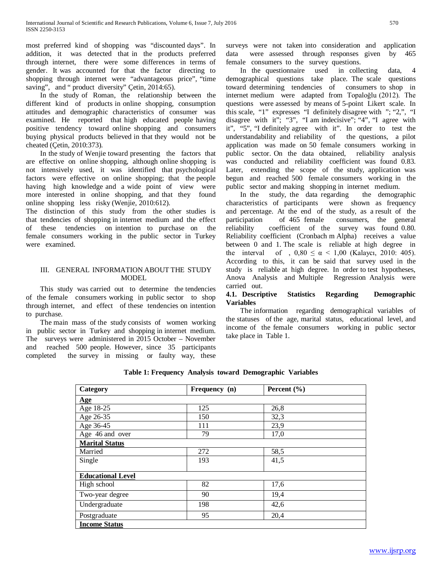most preferred kind of shopping was "discounted days". In addition, it was detected that in the products preferred through internet, there were some differences in terms of gender. It was accounted for that the factor directing to shopping through internet were "advantageous price", "time saving", and " product diversity" Çetin, 2014:65).

 In the study of Roman, the relationship between the different kind of products in online shopping, consumption attitudes and demographic characteristics of consumer was examined. He reported that high educated people having positive tendency toward online shopping and consumers buying physical products believed in that they would not be cheated (Çetin, 2010:373).

 In the study of Wenjie toward presenting the factors that are effective on online shopping, although online shopping is not intensively used, it was identified that psychological factors were effective on online shopping; that the people having high knowledge and a wide point of view were more interested in online shopping, and that they found online shopping less risky (Wenjie, 2010:612).

The distinction of this study from the other studies is that tendencies of shopping in internet medium and the effect of these tendencies on intention to purchase on the female consumers working in the public sector in Turkey were examined.

#### III. GENERAL INFORMATION ABOUT THE STUDY MODEL

 This study was carried out to determine the tendencies of the female consumers working in public sector to shop through internet, and effect of these tendencies on intention to purchase.

 The main mass of the study consists of women working in public sector in Turkey and shopping in internet medium. The surveys were administered in 2015 October – November and reached 500 people. However, since 35 participants completed the survey in missing or faulty way, these surveys were not taken into consideration and application data were assessed through responses given by 465 female consumers to the survey questions.

 In the questionnaire used in collecting data, 4 demographical questions take place. The scale questions toward determining tendencies of consumers to shop in internet medium were adapted from Topaloğlu (2012). The questions were assessed by means of 5-point Likert scale. In this scale, "1" expresses "I definitely disagree with "; "2,", "I disagree with it"; "3", "I am indecisive"; "4", "I agree with it", "5", "I definitely agree with it". In order to test the understandability and reliability of the questions, a pilot application was made on 50 female consumers working in public sector. On the data obtained, reliability analysis was conducted and reliability coefficient was found 0.83. Later, extending the scope of the study, application was begun and reached 500 female consumers working in the public sector and making shopping in internet medium.

 In the study, the data regarding the demographic characteristics of participants were shown as frequency and percentage. At the end of the study, as a result of the participation of 465 female consumers, the general reliability coefficient of the survey was found 0.80. Reliability coefficient (Cronbach m Alpha) receives a value between 0 and 1. The scale is reliable at high degree in the interval of ,  $0,80 \le \alpha < 1,00$  (Kalaycı, 2010: 405). According to this, it can be said that survey used in the study is reliable at high degree. In order to test hypotheses, Anova Analysis and Multiple Regression Analysis were carried out.

#### **4.1. Descriptive Statistics Regarding Demographic Variables**

 The information regarding demographical variables of the statuses of the age, marital status, educational level, and income of the female consumers working in public sector take place in Table 1.

### **Table 1: Frequency Analysis toward Demographic Variables**

| Category                 | Frequency (n) | Percent $(\% )$ |  |
|--------------------------|---------------|-----------------|--|
| <b>Age</b>               |               |                 |  |
| Age 18-25                | 125           | 26,8            |  |
| Age 26-35                | 150           | 32,3            |  |
| Age 36-45                | 111           | 23,9            |  |
| Age 46 and over          | 79            | 17,0            |  |
| <b>Marital Status</b>    |               |                 |  |
| Married                  | 272           | 58,5            |  |
| Single                   | 193           | 41,5            |  |
| <b>Educational Level</b> |               |                 |  |
| High school              | 82            | 17,6            |  |
| Two-year degree          | 90            | 19,4            |  |
| Undergraduate            | 198           | 42,6            |  |
| Postgraduate             | 95            | 20,4            |  |
| <b>Income Status</b>     |               |                 |  |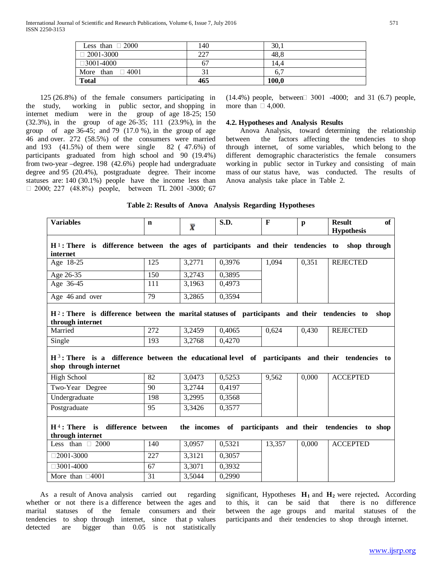| Less than $\Box$ 2000 | 140 | 30.1  |
|-----------------------|-----|-------|
| $\Box$ 2001-3000      | 227 | 48,8  |
| $\Box$ 3001-4000      | 67  | 14.4  |
| More than $\Box$ 4001 |     | 6,7   |
| <b>Total</b>          | 465 | 100,0 |

 125 (26.8%) of the female consumers participating in the study, working in public sector, and shopping in internet medium were in the group of age 18-25; 150 (32.3%), in the group of age 26-35; 111 (23.9%), in the group of age 36-45; and 79  $(17.0\%)$ , in the group of age 46 and over. 272 (58.5%) of the consumers were married and 193 (41.5%) of them were single 82 ( 47.6%) of participants graduated from high school and 90 (19.4%) from two-year –degree. 198 (42.6%) people had undergraduate degree and 95 (20.4%), postgraduate degree. Their income statuses are: 140 (30.1%) people have the income less than  $\Box$  2000; 227 (48.8%) people, between TL 2001 -3000; 67

 $(14.4\%)$  people, between  $\Box$  3001 -4000; and 31 (6.7) people, more than  $\Box$  4,000.

#### **4.2. Hypotheses and Analysis Results**

 Anova Analysis, toward determining the relationship between the factors affecting the tendencies to shop through internet, of some variables, which belong to the different demographic characteristics the female consumers working in public sector in Turkey and consisting of main mass of our status have, was conducted. The results of Anova analysis take place in Table 2.

|  |  | Table 2: Results of Anova Analysis Regarding Hypotheses |
|--|--|---------------------------------------------------------|
|  |  |                                                         |

| <b>Variables</b>                                                                                                            | n   | $\overline{\bm{X}}$ | S.D.   | F      | $\mathbf{p}$ | <b>Result</b><br>of |
|-----------------------------------------------------------------------------------------------------------------------------|-----|---------------------|--------|--------|--------------|---------------------|
|                                                                                                                             |     |                     |        |        |              | <b>Hypothesis</b>   |
| $H1$ : There is difference between the ages of participants and their tendencies to shop through<br>internet                |     |                     |        |        |              |                     |
| Age 18-25                                                                                                                   | 125 | 3,2771              | 0.3976 | 1,094  | 0.351        | <b>REJECTED</b>     |
| Age 26-35                                                                                                                   | 150 | 3,2743              | 0,3895 |        |              |                     |
| Age 36-45                                                                                                                   | 111 | 3,1963              | 0,4973 |        |              |                     |
| Age 46 and over                                                                                                             | 79  | 3,2865              | 0,3594 |        |              |                     |
| $H2$ : There is difference between the marital statuses of participants and their tendencies to<br>through internet         |     |                     |        |        |              | shop                |
| Married                                                                                                                     | 272 | 3,2459              | 0,4065 | 0,624  | 0,430        | <b>REJECTED</b>     |
| Single                                                                                                                      | 193 | 3,2768              | 0,4270 |        |              |                     |
| $H3$ : There is a difference between the educational level of participants and their tendencies to<br>shop through internet |     |                     |        |        |              |                     |
| High School                                                                                                                 | 82  | 3,0473              | 0,5253 | 9,562  | 0,000        | <b>ACCEPTED</b>     |
| Two-Year Degree                                                                                                             | 90  | 3,2744              | 0,4197 |        |              |                     |
| Undergraduate                                                                                                               | 198 | 3,2995              | 0,3568 |        |              |                     |
| Postgraduate                                                                                                                | 95  | 3,3426              | 0,3577 |        |              |                     |
| $H4$ : There is<br>difference between<br>of participants and their tendencies to shop<br>the incomes<br>through internet    |     |                     |        |        |              |                     |
| Less than $\Box$ 2000                                                                                                       | 140 | 3,0957              | 0,5321 | 13,357 | 0,000        | <b>ACCEPTED</b>     |
| $\Box$ 2001-3000                                                                                                            | 227 | 3,3121              | 0,3057 |        |              |                     |
| $\Box$ 3001-4000                                                                                                            | 67  | 3,3071              | 0,3932 |        |              |                     |
| More than $\Box$ 4001                                                                                                       | 31  | 3,5044              | 0,2990 |        |              |                     |

 As a result of Anova analysis carried out regarding whether or not there is a difference between the ages and marital statuses of the female consumers and their tendencies to shop through internet, since that p values detected are bigger than 0.05 is not statistically significant, Hypotheses  $H_1$  and  $H_2$  were rejected. According to this, it can be said that there is no difference between the age groups and marital statuses of the participants and their tendencies to shop through internet.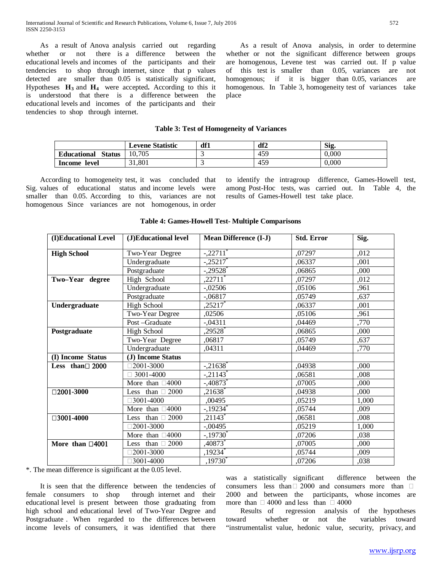As a result of Anova analysis carried out regarding whether or not there is a difference between the educational levels and incomes of the participants and their tendencies to shop through internet, since that p values detected are smaller than 0.05 is statistically significant, Hypotheses  $H_3$  and  $H_4$  were accepted. According to this it is understood that there is a difference between the educational levels and incomes of the participants and their tendencies to shop through internet.

 As a result of Anova analysis, in order to determine whether or not the significant difference between groups are homogenous, Levene test was carried out. If p value of this test is smaller than 0.05, variances are not homogenous; if it is bigger than 0.05, variances are homogenous. In Table 3, homogeneity test of variances take place

#### **Table 3: Test of Homogeneity of Variances**

|                                     | <b>Levene Statistic</b> | df1 | df2 | Sig.      |
|-------------------------------------|-------------------------|-----|-----|-----------|
| <b>Status</b><br><b>Educational</b> | 10.705                  |     | 459 | $0.000\,$ |
| Income<br>level                     | 31.801                  |     | 459 | 0.000     |

 According to homogeneity test, it was concluded that Sig. values of educational status and income levels were smaller than 0.05. According to this, variances are not homogenous Since variances are not homogenous, in order to identify the intragroup difference, Games-Howell test, among Post-Hoc tests, was carried out. In Table 4, the results of Games-Howell test take place.

| (I)Educational Level  | (J)Educational level     | <b>Mean Difference (I-J)</b> | <b>Std. Error</b> | Sig.  |
|-----------------------|--------------------------|------------------------------|-------------------|-------|
| <b>High School</b>    | Two-Year Degree          | $-.22711"$                   | ,07297            | ,012  |
|                       | Undergraduate            | $-.25217$                    | .06337            | ,001  |
|                       | Postgraduate             | $-.29528$ <sup>*</sup>       | ,06865            | ,000  |
| Two-Year degree       | High School              | $,22711$ <sup>*</sup>        | .07297            | ,012  |
|                       | Undergraduate            | $-.02506$                    | ,05106            | ,961  |
|                       | Postgraduate             | $-.06817$                    | .05749            | ,637  |
| Undergraduate         | <b>High School</b>       | ,25217                       | ,06337            | ,001  |
|                       | Two-Year Degree          | ,02506                       | ,05106            | ,961  |
|                       | Post-Graduate            | $-.04311$                    | .04469            | ,770  |
| Postgraduate          | <b>High School</b>       | ,29528                       | .06865            | .000  |
|                       | Two-Year Degree          | ,06817                       | ,05749            | ,637  |
|                       | Undergraduate            | ,04311                       | ,04469            | ,770  |
| (I) Income Status     | (J) Income Status        |                              |                   |       |
| Less than $\Box$ 2000 | $\Box 2001 - 3000$       | $-.21638$ <sup>*</sup>       | ,04938            | ,000  |
|                       | 3001-4000                | $-.21143$ <sup>*</sup>       | ,06581            | ,008  |
|                       | More than $\Box 4000$    | $-.40873$                    | ,07005            | .000  |
| $\square 2001 - 3000$ | Less than $\Box$ 2000    | $,21638^*$                   | .04938            | ,000  |
|                       | $\Box 3001 - 4000$       | ,00495                       | .05219            | 1,000 |
|                       | More than $\Box 4000$    | $-.19234$ <sup>*</sup>       | ,05744            | ,009  |
| □3001-4000            | Less than $\Box$ 2000    | $,21143$ <sup>*</sup>        | ,06581            | .008  |
|                       | $\neg$ 2001-3000         | $-.00495$                    | ,05219            | 1,000 |
|                       | More than $\Box 4000$    | $-19730$                     | ,07206            | ,038  |
| More than $\Box$ 4001 | 2000<br>Less than $\Box$ | ,40873 $*$                   | ,07005            | ,000  |
|                       | $\Box 2001 - 3000$       | ,19234*                      | ,05744            | ,009  |
|                       | $\Box$ 3001-4000         | $,19730^*$                   | .07206            | ,038  |

#### **Table 4: Games-Howell Test- Multiple Comparisons**

\*. The mean difference is significant at the 0.05 level.

 It is seen that the difference between the tendencies of female consumers to shop through internet and their educational level is present between those graduating from high school and educational level of Two-Year Degree and Postgraduate . When regarded to the differences between income levels of consumers, it was identified that there was a statistically significant difference between the consumers less than  $\Box$  2000 and consumers more than  $\Box$ 2000 and between the participants, whose incomes are more than  $\Box$  4000 and less than  $\Box$  4000<br>Results of regression analysis

regression analysis of the hypotheses toward whether or not the variables toward "instrumentalist value, hedonic value, security, privacy, and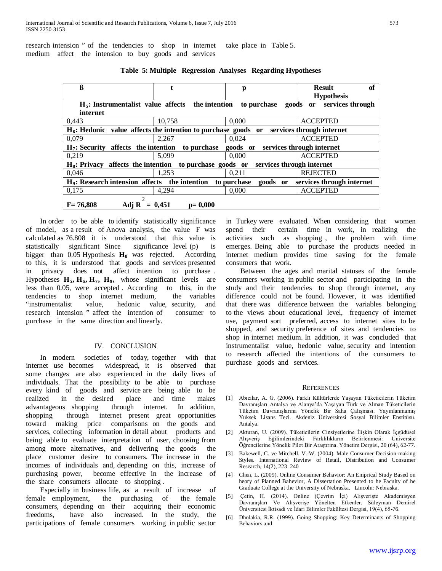research intension " of the tendencies to shop in internet medium affect the intension to buy goods and services take place in Table 5.

| ß                                                                                                        |             | p           | <b>Result</b><br>of          |  |  |
|----------------------------------------------------------------------------------------------------------|-------------|-------------|------------------------------|--|--|
|                                                                                                          |             |             | <b>Hypothesis</b>            |  |  |
| $H5$ : Instrumentalist value affects the intention                                                       |             | to purchase | goods or<br>services through |  |  |
| internet                                                                                                 |             |             |                              |  |  |
| 0.443                                                                                                    | 10.758      | 0.000       | <b>ACCEPTED</b>              |  |  |
| $H_6$ : Hedonic value affects the intention to purchase goods or                                         |             |             | services through internet    |  |  |
| 0.079                                                                                                    | 2.267       | 0.024       | <b>ACCEPTED</b>              |  |  |
| $H_7$ : Security affects the intention                                                                   | to purchase | goods or    | services through internet    |  |  |
| 0.219                                                                                                    | 5.099       | 0.000       | <b>ACCEPTED</b>              |  |  |
| $H_8$ : Privacy affects the intention<br>to purchase goods or<br>services through internet               |             |             |                              |  |  |
| 0.046                                                                                                    | 1.253       | 0.211       | <b>REJECTED</b>              |  |  |
| $H_9$ : Research intension affects the intention<br>services through internet<br>to purchase<br>goods or |             |             |                              |  |  |
| 0,175                                                                                                    | 4.294       | 0,000       | <b>ACCEPTED</b>              |  |  |
| Adj R = $0,451$<br>$F = 76.808$                                                                          | $p = 0,000$ |             |                              |  |  |

**Table 5: Multiple Regression Analyses Regarding Hypotheses**

 In order to be able to identify statistically significance of model, as a result of Anova analysis, the value F was calculated as 76.808 it is understood that this value is statistically significant Since significance level (p) is bigger than  $0.05$  Hypothesis  $H_8$  was rejected. According to this, it is understood that goods and services presented in privacy does not affect intention to purchase . Hypotheses H<sub>5</sub>, H<sub>6</sub>, H<sub>7</sub>, H<sub>9</sub>, whose significant levels are less than 0.05, were accepted . According to this, in the tendencies to shop internet medium, the variables "instrumentalist value, hedonic value, security, and research intension " affect the intention of consumer to purchase in the same direction and linearly.

#### IV. CONCLUSION

 In modern societies of today, together with that internet use becomes widespread, it is observed that some changes are also experienced in the daily lives of individuals. That the possibility to be able to purchase every kind of goods and service are being able to be realized in the desired place and time makes advantageous shopping through internet. In addition, shopping through internet present great opportunities toward making price comparisons on the goods and services, collecting information in detail about products and being able to evaluate interpretation of user, choosing from among more alternatives, and delivering the goods the place customer desire to consumers. The increase in the incomes of individuals and, depending on this, increase of purchasing power, become effective in the increase of the share consumers allocate to shopping .

 Especially in business life, as a result of increase of female employment, the purchasing of the female consumers, depending on their acquiring their economic freedoms, have also increased. In the study, the participations of female consumers working in public sector

in Turkey were evaluated. When considering that women spend their certain time in work, in realizing the activities such as shopping , the problem with time emerges. Being able to purchase the products needed in internet medium provides time saving for the female consumers that work.

 Between the ages and marital statuses of the female consumers working in public sector and participating in the study and their tendencies to shop through internet, any difference could not be found. However, it was identified that there was difference between the variables belonging to the views about educational level, frequency of internet use, payment sort preferred, access to internet sites to be shopped, and security preference of sites and tendencies to shop in internet medium. In addition, it was concluded that instrumentalist value, hedonic value, security and intention to research affected the intentions of the consumers to purchase goods and services.

#### **REFERENCES**

- [1] Abıcılar, A. G. (2006). Farklı Kültürlerde Yaşayan Tüketicilerin Tüketim Davranışları Antalya ve Alanya'da Yaşayan Türk ve Alman Tüketicilerin Tüketim Davranışlarına Yönelik Bir Saha Çalışması. Yayınlanmamış Yüksek Lisans Tezi. Akdeniz Üniversitesi Sosyal Bilimler Enstitüsü. Antalya.
- [2] Akturan, U. (2009). Tüketicilerin Cinsiyetlerine İlişkin Olarak İçgüdüsel Alışveriş Eğilimlerindeki Farklılıkların Belirlenmesi: Üniversite Öğrencilerine Yönelik Pilot Bir Araştırma. Yönetim Dergisi, 20 (64), 62-77.
- [3] Bakewell, C. ve Mitchell, V.-W. (2004). Male Consumer Decision-making Styles. International Review of Retail, Distribution and Consumer Research, 14(2), 223–240
- [4] Chen, L. (2009). Online Consumer Behavior: An Emprical Study Based on heory of Planned Bahevior, A Dissertation Presented to he Faculty of he Graduate College at the University of Nebraska. Lincoln: Nebraska.
- [5] Çetin, H. (2014). Online (Çevrim İçi) Alışverişte Akademisyen Davranışları Ve Alışverişe Yönelten Etkenler. Süleyman Demirel Üniversitesi İktisadi ve İdari Bilimler Fakültesi Dergisi, 19(4), 65-76.
- [6] Dholakia, R.R. (1999). Going Shopping: Key Determinants of Shopping Behaviors and